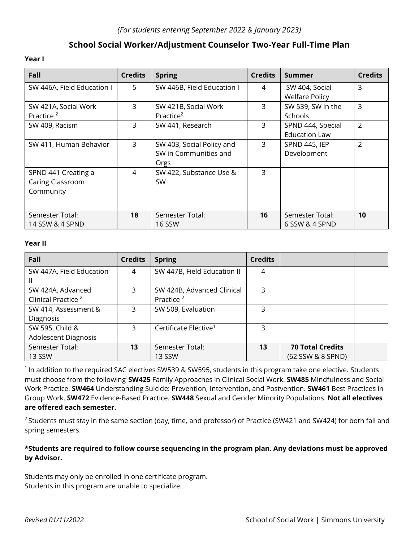# **School Social Worker/Adjustment Counselor Two-Year Full-Time Plan**

#### **Year I**

| Fall                       | <b>Credits</b> | <b>Spring</b>              | <b>Credits</b> | <b>Summer</b>         | <b>Credits</b> |
|----------------------------|----------------|----------------------------|----------------|-----------------------|----------------|
| SW 446A, Field Education I | 5              | SW 446B, Field Education I | 4              | SW 404, Social        | 3              |
|                            |                |                            |                | <b>Welfare Policy</b> |                |
| SW 421A, Social Work       | $\mathsf{3}$   | SW 421B, Social Work       | 3              | SW 539, SW in the     | 3              |
| Practice <sup>2</sup>      |                | Practice <sup>2</sup>      |                | Schools               |                |
| SW 409, Racism             | 3              | SW 441, Research           | 3              | SPND 444, Special     | $\overline{2}$ |
|                            |                |                            |                | <b>Education Law</b>  |                |
| SW 411, Human Behavior     | $\mathsf{3}$   | SW 403, Social Policy and  | 3              | SPND 445, IEP         | $\overline{2}$ |
|                            |                | SW in Communities and      |                | Development           |                |
|                            |                | Orgs                       |                |                       |                |
| SPND 441 Creating a        | $\overline{4}$ | SW 422, Substance Use &    | 3              |                       |                |
| Caring Classroom           |                | <b>SW</b>                  |                |                       |                |
| Community                  |                |                            |                |                       |                |
|                            |                |                            |                |                       |                |
| Semester Total:            | 18             | Semester Total:            | 16             | Semester Total:       | 10             |
| 14 SSW & 4 SPND            |                | <b>16 SSW</b>              |                | 6 SSW & 4 SPND        |                |

#### **Year II**

| Fall                                                | <b>Credits</b> | <b>Spring</b>                                       | <b>Credits</b> |                                              |  |
|-----------------------------------------------------|----------------|-----------------------------------------------------|----------------|----------------------------------------------|--|
| SW 447A, Field Education                            | 4              | SW 447B, Field Education II                         | 4              |                                              |  |
| SW 424A, Advanced<br>Clinical Practice <sup>2</sup> | 3              | SW 424B, Advanced Clinical<br>Practice <sup>2</sup> | 3              |                                              |  |
| SW 414, Assessment &<br>Diagnosis                   | 3              | SW 509, Evaluation                                  | 3              |                                              |  |
| SW 595, Child &<br><b>Adolescent Diagnosis</b>      | 3              | Certificate Elective <sup>1</sup>                   | 3              |                                              |  |
| Semester Total:<br><b>13 SSW</b>                    | 13             | Semester Total:<br><b>13 SSW</b>                    | 13             | <b>70 Total Credits</b><br>(62 SSW & 8 SPND) |  |

<sup>1</sup> In addition to the required SAC electives SW539 & SW595, students in this program take one elective. Students must choose from the following: **SW425** Family Approaches in Clinical Social Work. **SW485** Mindfulness and Social Work Practice. **SW464** Understanding Suicide: Prevention, Intervention, and Postvention. **SW461** Best Practices in Group Work. **SW472** Evidence-Based Practice. **SW448** Sexual and Gender Minority Populations. **Not all electives are offered each semester.**

<sup>2</sup> Students must stay in the same section (day, time, and professor) of Practice (SW421 and SW424) for both fall and spring semesters.

### **\*Students are required to follow course sequencing in the program plan. Any deviations must be approved by Advisor.**

Students may only be enrolled in one certificate program. Students in this program are unable to specialize.